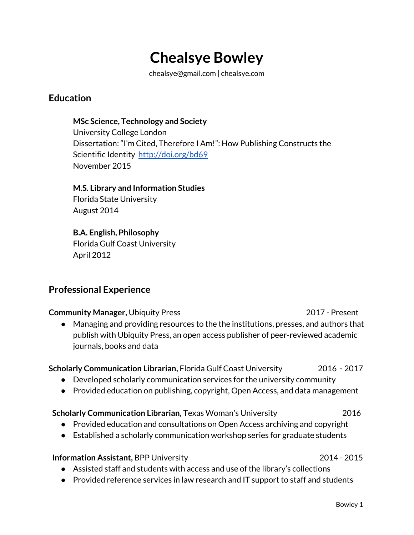# **Chealsye Bowley**

chealsye@gmail.com | chealsye.com

## **Education**

#### **MSc Science, Technology and Society**

University College London Dissertation: "I'm Cited, Therefore I Am!": How Publishing Constructs the Scientific Identity <http://doi.org/bd69> November 2015

#### **M.S. Library and Information Studies**

Florida State University August 2014

## . **B.A. English, Philosophy**

Florida Gulf Coast University April 2012

# **Professional Experience**

#### **Community Manager,** Ubiquity Press 2017 - Present

● Managing and providing resources to the the institutions, presses, and authors that publish with Ubiquity Press, an open access publisher of peer-reviewed academic journals, books and data

#### **Scholarly Communication Librarian,** Florida Gulf Coast University 2016 - 2017

- Developed scholarly communication services for the university community
- Provided education on publishing, copyright, Open Access, and data management

#### **Scholarly Communication Librarian,** Texas Woman's University 2016

- Provided education and consultations on Open Access archiving and copyright
- Established a scholarly communication workshop series for graduate students

#### **Information Assistant,** BPP University 2014 - 2015

- Assisted staff and students with access and use of the library's collections
- Provided reference services in law research and IT support to staff and students